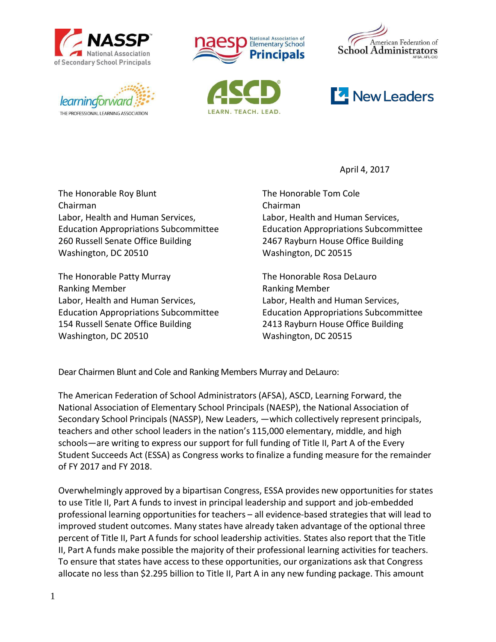











April 4, 2017

The Honorable Roy Blunt The Honorable Tom Cole Chairman Chairman Labor, Health and Human Services, Labor, Health and Human Services, Education Appropriations Subcommittee Education Appropriations Subcommittee 260 Russell Senate Office Building 2467 Rayburn House Office Building Washington, DC 20510 Washington, DC 20515

The Honorable Patty Murray The Honorable Rosa DeLauro Ranking Member **Ranking Member** Ranking Member Labor, Health and Human Services, Labor, Health and Human Services, Education Appropriations Subcommittee Education Appropriations Subcommittee 154 Russell Senate Office Building 2413 Rayburn House Office Building Washington, DC 20510 Washington, DC 20515

Dear Chairmen Blunt and Cole and Ranking Members Murray and DeLauro:

The American Federation of School Administrators (AFSA), ASCD, Learning Forward, the National Association of Elementary School Principals (NAESP), the National Association of Secondary School Principals (NASSP), New Leaders, —which collectively represent principals, teachers and other school leaders in the nation's 115,000 elementary, middle, and high schools—are writing to express our support for full funding of Title II, Part A of the Every Student Succeeds Act (ESSA) as Congress works to finalize a funding measure for the remainder of FY 2017 and FY 2018.

Overwhelmingly approved by a bipartisan Congress, ESSA provides new opportunities for states to use Title II, Part A funds to invest in principal leadership and support and job-embedded professional learning opportunities for teachers – all evidence-based strategies that will lead to improved student outcomes. Many states have already taken advantage of the optional three percent of Title II, Part A funds for school leadership activities. States also report that the Title II, Part A funds make possible the majority of their professional learning activities for teachers. To ensure that states have access to these opportunities, our organizations ask that Congress allocate no less than \$2.295 billion to Title II, Part A in any new funding package. This amount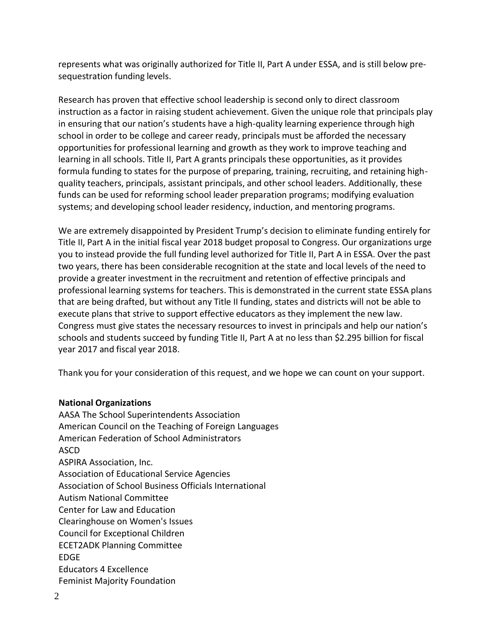represents what was originally authorized for Title II, Part A under ESSA, and is still below presequestration funding levels.

Research has proven that effective school leadership is second only to direct classroom instruction as a factor in raising student achievement. Given the unique role that principals play in ensuring that our nation's students have a high-quality learning experience through high school in order to be college and career ready, principals must be afforded the necessary opportunities for professional learning and growth as they work to improve teaching and learning in all schools. Title II, Part A grants principals these opportunities, as it provides formula funding to states for the purpose of preparing, training, recruiting, and retaining highquality teachers, principals, assistant principals, and other school leaders. Additionally, these funds can be used for reforming school leader preparation programs; modifying evaluation systems; and developing school leader residency, induction, and mentoring programs.

We are extremely disappointed by President Trump's decision to eliminate funding entirely for Title II, Part A in the initial fiscal year 2018 budget proposal to Congress. Our organizations urge you to instead provide the full funding level authorized for Title II, Part A in ESSA. Over the past two years, there has been considerable recognition at the state and local levels of the need to provide a greater investment in the recruitment and retention of effective principals and professional learning systems for teachers. This is demonstrated in the current state ESSA plans that are being drafted, but without any Title II funding, states and districts will not be able to execute plans that strive to support effective educators as they implement the new law. Congress must give states the necessary resources to invest in principals and help our nation's schools and students succeed by funding Title II, Part A at no less than \$2.295 billion for fiscal year 2017 and fiscal year 2018.

Thank you for your consideration of this request, and we hope we can count on your support.

## **National Organizations**

AASA The School Superintendents Association American Council on the Teaching of Foreign Languages American Federation of School Administrators ASCD ASPIRA Association, Inc. Association of Educational Service Agencies Association of School Business Officials International Autism National Committee Center for Law and Education Clearinghouse on Women's Issues Council for Exceptional Children ECET2ADK Planning Committee EDGE Educators 4 Excellence Feminist Majority Foundation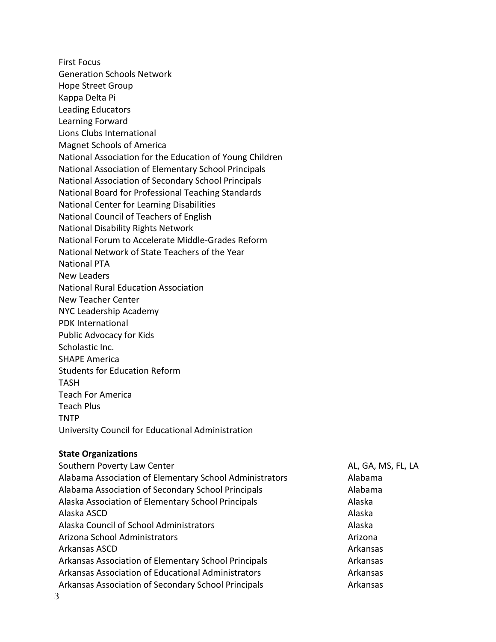First Focus Generation Schools Network Hope Street Group Kappa Delta Pi Leading Educators Learning Forward Lions Clubs International Magnet Schools of America National Association for the Education of Young Children National Association of Elementary School Principals National Association of Secondary School Principals National Board for Professional Teaching Standards National Center for Learning Disabilities National Council of Teachers of English National Disability Rights Network National Forum to Accelerate Middle-Grades Reform National Network of State Teachers of the Year National PTA New Leaders National Rural Education Association New Teacher Center NYC Leadership Academy PDK International Public Advocacy for Kids Scholastic Inc. SHAPE America Students for Education Reform TASH Teach For America Teach Plus TNTP University Council for Educational Administration

## **State Organizations**

Southern Poverty Law Center AL, GA, MS, FL, LA Alabama Association of Elementary School Administrators Alabama Alabama Association of Secondary School Principals **Alabama** Alabama Alaska Association of Elementary School Principals **Alaska** Alaska Alaska ASCD Alaska Alaska Council of School Administrators and all all the Alaska Alaska Arizona School Administrators Arizona Arizona Arizona Arizona Arkansas ASCD Arkansas Arkansas Association of Elementary School Principals **Arkansas** Arkansas Arkansas Association of Educational Administrators **Arkansas** Arkansas Arkansas Association of Secondary School Principals **Arkansas** Arkansas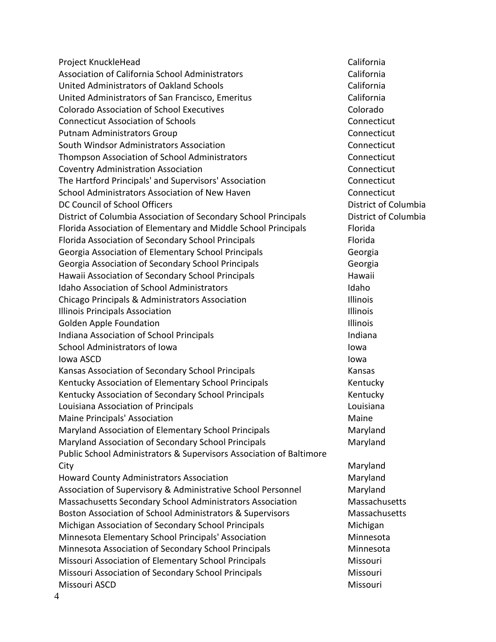Project KnuckleHead California Association of California School Administrators Theorem California United Administrators of Oakland Schools **California** California United Administrators of San Francisco, Emeritus California Colorado Association of School Executives Colorado Connecticut Association of Schools Connecticut Putnam Administrators Group Connecticut South Windsor Administrators Association Connecticut Thompson Association of School Administrators Connecticut Coventry Administration Association Connecticut The Hartford Principals' and Supervisors' Association Connecticut School Administrators Association of New Haven Connecticut DC Council of School Officers **District of Columbia** District of Columbia District of Columbia Association of Secondary School Principals District of Columbia Florida Association of Elementary and Middle School Principals Florida Florida Association of Secondary School Principals Florida Florida Georgia Association of Elementary School Principals Georgia Georgia Association of Secondary School Principals Georgia Hawaii Association of Secondary School Principals **Hawaii** Hawaii Idaho Association of School Administrators **Idaho** Idaho Chicago Principals & Administrators Association Illinois **Illinois Principals Association Illinois Illinois Illinois** Golden Apple Foundation **Illinois** Illinois Indiana Association of School Principals Indiana Indiana School Administrators of Iowa **Iowa** Iowa Iowa Iowa ASCD Iowa Kansas Association of Secondary School Principals Kansas Kansas Kentucky Association of Elementary School Principals Kentucky Kentucky Association of Secondary School Principals Kentucky Kentucky Louisiana Association of Principals Louisiana Maine Principals' Association and Maine Maine Maine Maine Maine Maryland Association of Elementary School Principals Maryland Maryland Association of Secondary School Principals Maryland Public School Administrators & Supervisors Association of Baltimore City **Maryland** Howard County Administrators Association Maryland Association of Supervisory & Administrative School Personnel Maryland Massachusetts Secondary School Administrators Association Massachusetts Boston Association of School Administrators & Supervisors Massachusetts Michigan Association of Secondary School Principals **Michigan** Michigan Minnesota Elementary School Principals' Association Minnesota Minnesota Minnesota Association of Secondary School Principals Minnesota Missouri Association of Elementary School Principals Missouri Missouri Association of Secondary School Principals Missouri Missouri Missouri ASCD Missouri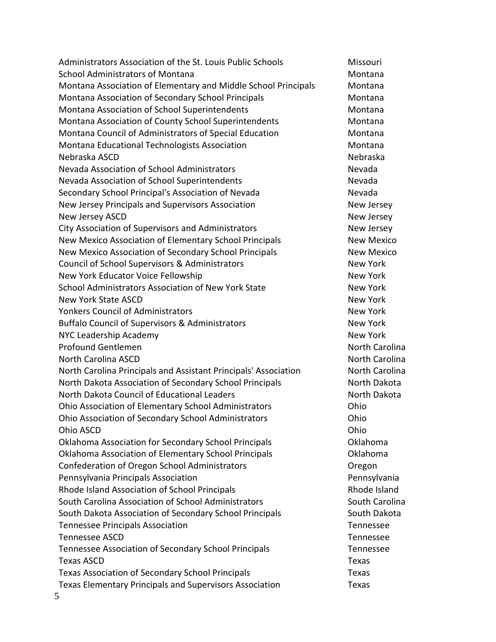Administrators Association of the St. Louis Public Schools Missouri School Administrators of Montana Montana Montana Montana Montana Association of Elementary and Middle School Principals Montana Montana Association of Secondary School Principals **Montana** Montana Montana Association of School Superintendents Montana Montana Montana Association of County School Superintendents Montana Montana Council of Administrators of Special Education Montana Montana Educational Technologists Association Montana Montana Nebraska ASCD Nebraska Nevada Association of School Administrators Nevada Nevada Association of School Superintendents Nevada Secondary School Principal's Association of Nevada Nevada New Jersey Principals and Supervisors Association New Jersey New Jersey ASCD **New Jersey ASCD** City Association of Supervisors and Administrators The Mew Jersey New Mexico Association of Elementary School Principals New Mexico New Mexico Association of Secondary School Principals New Mexico Council of School Supervisors & Administrators New York New York Educator Voice Fellowship New York New York School Administrators Association of New York State New York School Administrators Association of New York New York State ASCD New York Yonkers Council of Administrators New York New York Buffalo Council of Supervisors & Administrators New York NYC Leadership Academy New York New York Profound Gentlemen North Carolina North Carolina ASCD North Carolina North Carolina Principals and Assistant Principals' Association North Carolina North Dakota Association of Secondary School Principals North Dakota North Dakota Council of Educational Leaders North Dakota North Dakota Ohio Association of Elementary School Administrators Ohio Ohio Association of Secondary School Administrators Ohio Ohio ASCD Ohio Oklahoma Association for Secondary School Principals Oklahoma Oklahoma Association of Elementary School Principals Oklahoma Confederation of Oregon School Administrators Oregon Pennsylvania Principals Association **Pennsylvania** Pennsylvania Rhode Island Association of School Principals **Rhode Island** Rhode Island South Carolina Association of School Administrators South Carolina South Carolina South Dakota Association of Secondary School Principals South Dakota Tennessee Principals Association Tennessee Tennessee ASCD Tennessee Tennessee Association of Secondary School Principals Tennessee Texas ASCD **Texas ASCD** Texas Association of Secondary School Principals Texas Texas Elementary Principals and Supervisors Association Texas